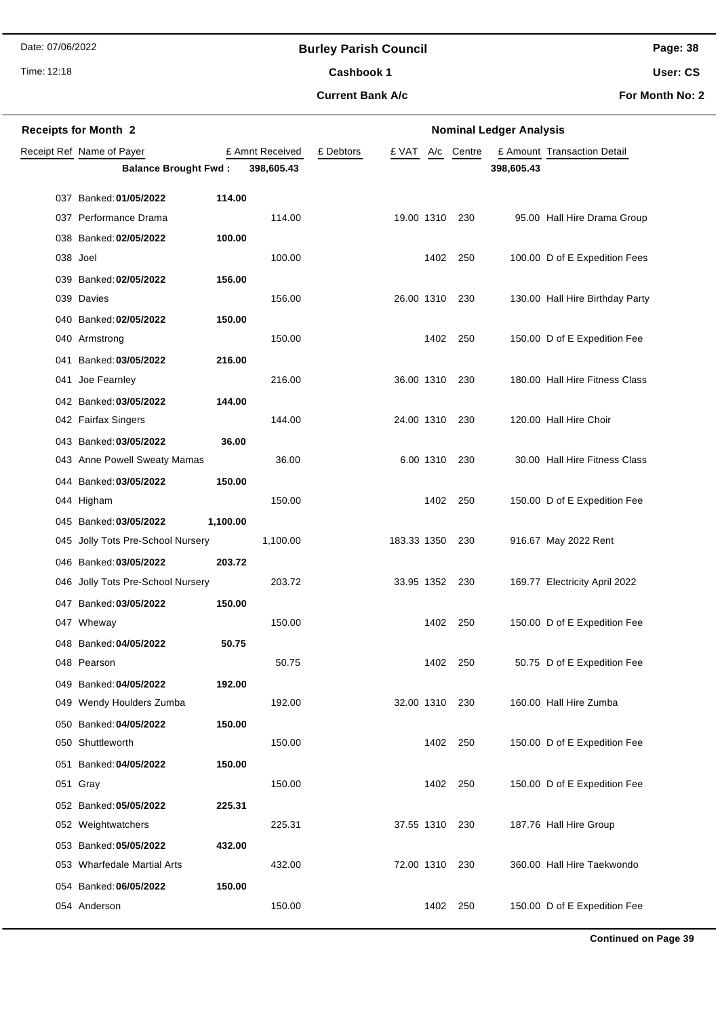## **Burley Parish Council**

Time: 12:18

# Cashbook 1

**Current Bank A/c**

**User: CS**

**For Month No: 2**

| <b>Receipts for Month 2</b>       |          | <b>Nominal Ledger Analysis</b> |           |                |           |                  |            |                                 |
|-----------------------------------|----------|--------------------------------|-----------|----------------|-----------|------------------|------------|---------------------------------|
| Receipt Ref Name of Payer         |          | £ Amnt Received                | £ Debtors |                |           | £ VAT A/c Centre |            | £ Amount Transaction Detail     |
| <b>Balance Brought Fwd:</b>       |          | 398,605.43                     |           |                |           |                  | 398,605.43 |                                 |
| 037 Banked: 01/05/2022            | 114.00   |                                |           |                |           |                  |            |                                 |
| 037 Performance Drama             |          | 114.00                         |           | 19.00 1310 230 |           |                  |            | 95.00 Hall Hire Drama Group     |
| 038 Banked: 02/05/2022            | 100.00   |                                |           |                |           |                  |            |                                 |
| 038 Joel                          |          | 100.00                         |           |                | 1402      | 250              |            | 100.00 D of E Expedition Fees   |
| 039 Banked: 02/05/2022            | 156.00   |                                |           |                |           |                  |            |                                 |
| 039 Davies                        |          | 156.00                         |           | 26.00 1310     |           | 230              |            | 130.00 Hall Hire Birthday Party |
| 040 Banked: 02/05/2022            | 150.00   |                                |           |                |           |                  |            |                                 |
| 040 Armstrong                     |          | 150.00                         |           |                | 1402      | 250              |            | 150.00 D of E Expedition Fee    |
| 041 Banked: 03/05/2022            | 216.00   |                                |           |                |           |                  |            |                                 |
| 041 Joe Fearnley                  |          | 216.00                         |           | 36.00 1310     |           | 230              |            | 180.00 Hall Hire Fitness Class  |
| 042 Banked: 03/05/2022            | 144.00   |                                |           |                |           |                  |            |                                 |
| 042 Fairfax Singers               |          | 144.00                         |           | 24.00 1310 230 |           |                  |            | 120.00 Hall Hire Choir          |
| 043 Banked: 03/05/2022            | 36.00    |                                |           |                |           |                  |            |                                 |
| 043 Anne Powell Sweaty Mamas      |          | 36.00                          |           |                | 6.00 1310 | 230              |            | 30.00 Hall Hire Fitness Class   |
| 044 Banked: 03/05/2022            | 150.00   |                                |           |                |           |                  |            |                                 |
| 044 Higham                        |          | 150.00                         |           |                | 1402      | 250              |            | 150.00 D of E Expedition Fee    |
| 045 Banked: 03/05/2022            | 1,100.00 |                                |           |                |           |                  |            |                                 |
| 045 Jolly Tots Pre-School Nursery |          | 1,100.00                       |           | 183.33 1350    |           | 230              |            | 916.67 May 2022 Rent            |
| 046 Banked: 03/05/2022            | 203.72   |                                |           |                |           |                  |            |                                 |
| 046 Jolly Tots Pre-School Nursery |          | 203.72                         |           | 33.95 1352     |           | 230              |            | 169.77 Electricity April 2022   |
| 047 Banked: 03/05/2022            | 150.00   |                                |           |                |           |                  |            |                                 |
| 047 Wheway                        |          | 150.00                         |           |                | 1402      | 250              |            | 150.00 D of E Expedition Fee    |
| 048 Banked: 04/05/2022            | 50.75    |                                |           |                |           |                  |            |                                 |
| 048 Pearson                       |          | 50.75                          |           |                |           | 1402 250         |            | 50.75 D of E Expedition Fee     |
| 049 Banked: 04/05/2022            | 192.00   |                                |           |                |           |                  |            |                                 |
| 049 Wendy Houlders Zumba          |          | 192.00                         |           | 32.00 1310     |           | 230              |            | 160.00 Hall Hire Zumba          |
| 050 Banked: 04/05/2022            | 150.00   |                                |           |                |           |                  |            |                                 |
| 050 Shuttleworth                  |          | 150.00                         |           |                | 1402      | 250              |            | 150.00 D of E Expedition Fee    |
| 051 Banked: 04/05/2022            | 150.00   |                                |           |                |           |                  |            |                                 |
| 051 Gray                          |          | 150.00                         |           |                |           | 1402 250         |            | 150.00 D of E Expedition Fee    |
| 052 Banked: 05/05/2022            | 225.31   |                                |           |                |           |                  |            |                                 |
| 052 Weightwatchers                |          | 225.31                         |           | 37.55 1310 230 |           |                  |            | 187.76 Hall Hire Group          |
| 053 Banked: 05/05/2022            | 432.00   |                                |           |                |           |                  |            |                                 |
| 053 Wharfedale Martial Arts       |          | 432.00                         |           | 72.00 1310 230 |           |                  |            | 360.00 Hall Hire Taekwondo      |
| 054 Banked: 06/05/2022            | 150.00   |                                |           |                |           |                  |            |                                 |
| 054 Anderson                      |          | 150.00                         |           |                | 1402      | 250              |            | 150.00 D of E Expedition Fee    |

**Continued on Page 39**

**Page: 38**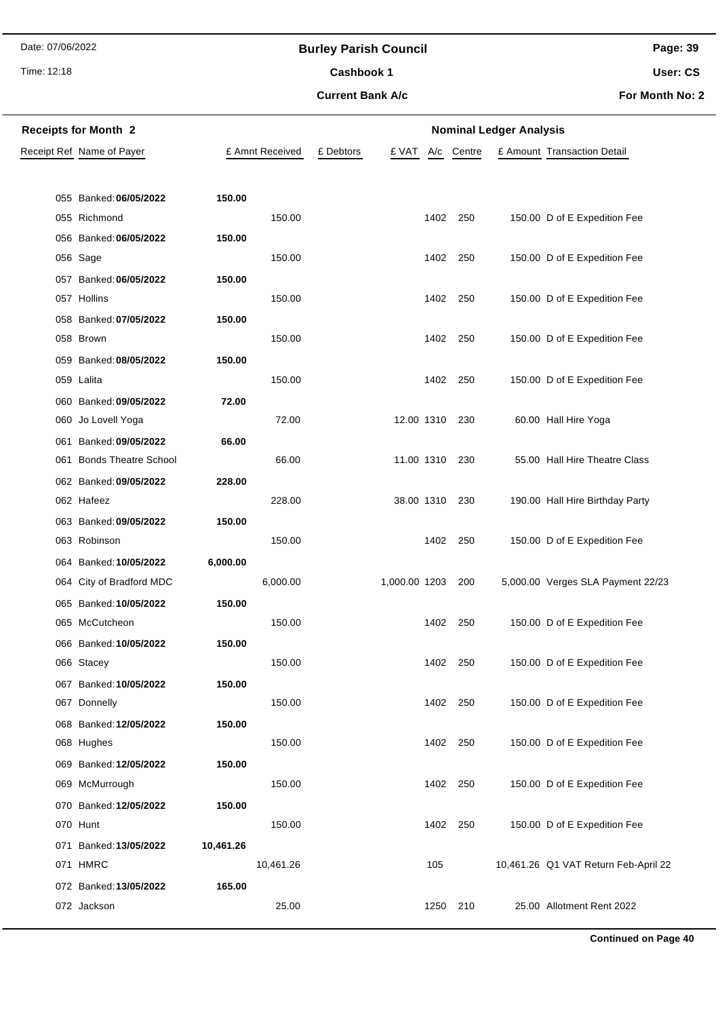## **Burley Parish Council**

Time: 12:18

## **Current Bank A/c** Cashbook 1

**Page: 39 User: CS**

**For Month No: 2**

| <b>Receipts for Month 2</b> |                                      |           |                 | <b>Nominal Ledger Analysis</b> |                |          |        |  |                                      |  |
|-----------------------------|--------------------------------------|-----------|-----------------|--------------------------------|----------------|----------|--------|--|--------------------------------------|--|
|                             | Receipt Ref Name of Payer            |           | £ Amnt Received | £ Debtors                      | £ VAT          | A/c      | Centre |  | £ Amount Transaction Detail          |  |
|                             |                                      |           |                 |                                |                |          |        |  |                                      |  |
|                             | 055 Banked: 06/05/2022               | 150.00    |                 |                                |                |          |        |  |                                      |  |
|                             | 055 Richmond                         |           | 150.00          |                                |                | 1402 250 |        |  | 150.00 D of E Expedition Fee         |  |
|                             | 056 Banked: 06/05/2022               | 150.00    |                 |                                |                |          |        |  |                                      |  |
|                             | 056 Sage                             |           | 150.00          |                                |                | 1402 250 |        |  | 150.00 D of E Expedition Fee         |  |
|                             | 057 Banked: 06/05/2022               | 150.00    |                 |                                |                |          |        |  |                                      |  |
|                             | 057 Hollins                          |           | 150.00          |                                |                | 1402 250 |        |  | 150.00 D of E Expedition Fee         |  |
|                             | 058 Banked: 07/05/2022               | 150.00    |                 |                                |                |          |        |  |                                      |  |
|                             | 058 Brown                            |           | 150.00          |                                |                | 1402 250 |        |  | 150.00 D of E Expedition Fee         |  |
|                             | 059 Banked: 08/05/2022               | 150.00    |                 |                                |                |          |        |  |                                      |  |
|                             | 059 Lalita                           |           | 150.00          |                                |                | 1402 250 |        |  | 150.00 D of E Expedition Fee         |  |
|                             | 060 Banked: 09/05/2022               | 72.00     |                 |                                |                |          |        |  |                                      |  |
|                             | 060 Jo Lovell Yoga                   |           | 72.00           |                                | 12.00 1310 230 |          |        |  | 60.00 Hall Hire Yoga                 |  |
|                             | 061 Banked: 09/05/2022               | 66.00     |                 |                                |                |          |        |  |                                      |  |
|                             | 061 Bonds Theatre School             |           | 66.00           |                                | 11.00 1310 230 |          |        |  | 55.00 Hall Hire Theatre Class        |  |
|                             | 062 Banked: 09/05/2022               | 228.00    |                 |                                |                |          |        |  |                                      |  |
|                             | 062 Hafeez                           |           | 228.00          |                                | 38.00 1310 230 |          |        |  | 190.00 Hall Hire Birthday Party      |  |
|                             | 063 Banked: 09/05/2022               | 150.00    |                 |                                |                |          |        |  |                                      |  |
|                             | 063 Robinson                         |           | 150.00          |                                |                | 1402 250 |        |  | 150.00 D of E Expedition Fee         |  |
|                             | 064 Banked: 10/05/2022               | 6,000.00  |                 |                                |                |          |        |  |                                      |  |
|                             | 064 City of Bradford MDC             |           | 6,000.00        |                                | 1,000.00 1203  |          | 200    |  | 5,000.00 Verges SLA Payment 22/23    |  |
|                             | 065 Banked: 10/05/2022               | 150.00    |                 |                                |                |          |        |  |                                      |  |
|                             | 065 McCutcheon                       |           | 150.00          |                                |                | 1402     | 250    |  | 150.00 D of E Expedition Fee         |  |
|                             | 066 Banked: 10/05/2022<br>066 Stacey | 150.00    | 150.00          |                                |                | 1402 250 |        |  | 150.00 D of E Expedition Fee         |  |
|                             | 067 Banked: 10/05/2022               | 150.00    |                 |                                |                |          |        |  |                                      |  |
|                             | 067 Donnelly                         |           | 150.00          |                                |                | 1402 250 |        |  | 150.00 D of E Expedition Fee         |  |
|                             | 068 Banked: 12/05/2022               | 150.00    |                 |                                |                |          |        |  |                                      |  |
|                             | 068 Hughes                           |           | 150.00          |                                |                | 1402 250 |        |  | 150.00 D of E Expedition Fee         |  |
|                             | 069 Banked: 12/05/2022               | 150.00    |                 |                                |                |          |        |  |                                      |  |
|                             | 069 McMurrough                       |           | 150.00          |                                |                | 1402 250 |        |  | 150.00 D of E Expedition Fee         |  |
|                             | 070 Banked: 12/05/2022               | 150.00    |                 |                                |                |          |        |  |                                      |  |
|                             | 070 Hunt                             |           | 150.00          |                                |                | 1402 250 |        |  | 150.00 D of E Expedition Fee         |  |
|                             | 071 Banked: 13/05/2022               | 10,461.26 |                 |                                |                |          |        |  |                                      |  |
|                             | 071 HMRC                             |           | 10,461.26       |                                |                | 105      |        |  | 10,461.26 Q1 VAT Return Feb-April 22 |  |
|                             | 072 Banked: 13/05/2022               | 165.00    |                 |                                |                |          |        |  |                                      |  |
|                             | 072 Jackson                          |           | 25.00           |                                |                | 1250 210 |        |  | 25.00 Allotment Rent 2022            |  |

**Continued on Page 40**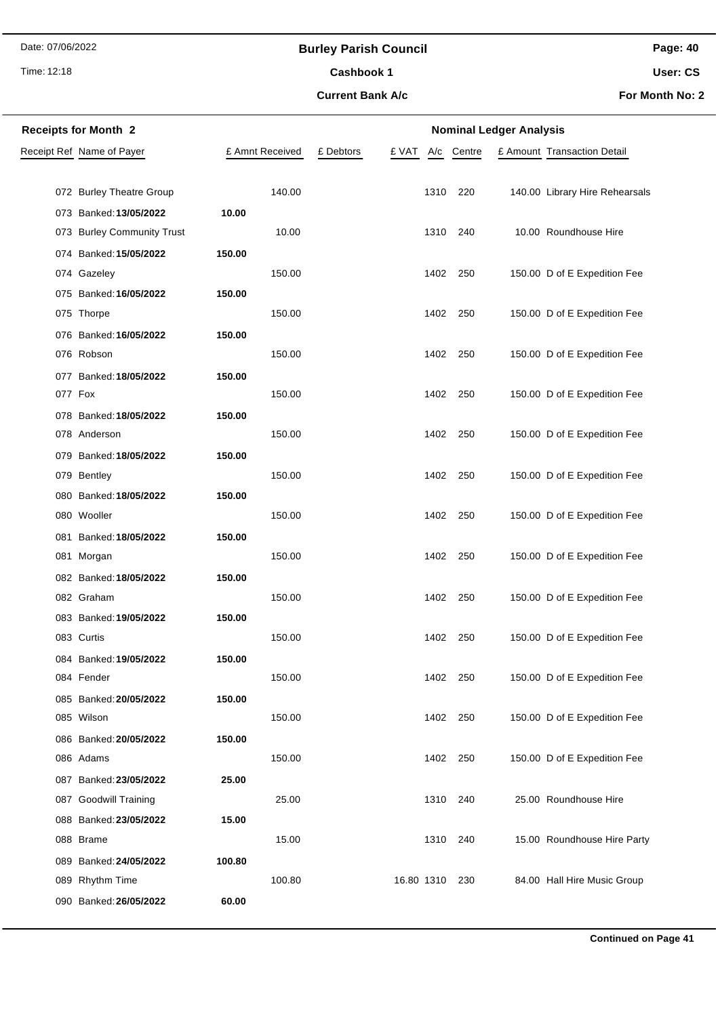Time: 12:18

## **Burley Parish Council**

Cashbook 1

**Current Bank A/c**

**Page: 40 User: CS**

**For Month No: 2**

| <b>Receipts for Month 2</b> | <b>Nominal Ledger Analysis</b> |           |            |            |  |                                |  |
|-----------------------------|--------------------------------|-----------|------------|------------|--|--------------------------------|--|
| Receipt Ref Name of Payer   | £ Amnt Received                | £ Debtors | £ VAT      | A/c Centre |  | £ Amount Transaction Detail    |  |
|                             |                                |           |            |            |  |                                |  |
| 072 Burley Theatre Group    | 140.00                         |           | 1310       | 220        |  | 140.00 Library Hire Rehearsals |  |
| 073 Banked: 13/05/2022      | 10.00                          |           |            |            |  |                                |  |
| 073 Burley Community Trust  | 10.00                          |           | 1310       | 240        |  | 10.00 Roundhouse Hire          |  |
| 074 Banked: 15/05/2022      | 150.00                         |           |            |            |  |                                |  |
| 074 Gazeley                 | 150.00                         |           | 1402       | 250        |  | 150.00 D of E Expedition Fee   |  |
| 075 Banked: 16/05/2022      | 150.00                         |           |            |            |  |                                |  |
| 075 Thorpe                  | 150.00                         |           | 1402       | 250        |  | 150.00 D of E Expedition Fee   |  |
| 076 Banked: 16/05/2022      | 150.00                         |           |            |            |  |                                |  |
| 076 Robson                  | 150.00                         |           | 1402       | 250        |  | 150.00 D of E Expedition Fee   |  |
| 077 Banked: 18/05/2022      | 150.00                         |           |            |            |  |                                |  |
| 077 Fox                     | 150.00                         |           | 1402       | 250        |  | 150.00 D of E Expedition Fee   |  |
| 078 Banked: 18/05/2022      | 150.00                         |           |            |            |  |                                |  |
| 078 Anderson                | 150.00                         |           | 1402       | 250        |  | 150.00 D of E Expedition Fee   |  |
| 079 Banked: 18/05/2022      | 150.00                         |           |            |            |  |                                |  |
| 079 Bentley                 | 150.00                         |           | 1402       | 250        |  | 150.00 D of E Expedition Fee   |  |
| 080 Banked: 18/05/2022      | 150.00                         |           |            |            |  |                                |  |
| 080 Wooller                 | 150.00                         |           | 1402       | 250        |  | 150.00 D of E Expedition Fee   |  |
| 081 Banked: 18/05/2022      | 150.00                         |           |            |            |  |                                |  |
| 081 Morgan                  | 150.00                         |           | 1402       | 250        |  | 150.00 D of E Expedition Fee   |  |
| 082 Banked: 18/05/2022      | 150.00                         |           |            |            |  |                                |  |
| 082 Graham                  | 150.00                         |           | 1402       | 250        |  | 150.00 D of E Expedition Fee   |  |
| 083 Banked: 19/05/2022      | 150.00                         |           |            |            |  |                                |  |
| 083 Curtis                  | 150.00                         |           | 1402       | 250        |  | 150.00 D of E Expedition Fee   |  |
| 084 Banked: 19/05/2022      | 150.00                         |           |            |            |  |                                |  |
| 084 Fender                  | 150.00                         |           | 1402       | 250        |  | 150.00 D of E Expedition Fee   |  |
| 085 Banked: 20/05/2022      | 150.00                         |           |            |            |  |                                |  |
| 085 Wilson                  | 150.00                         |           | 1402       | 250        |  | 150.00 D of E Expedition Fee   |  |
| 086 Banked: 20/05/2022      | 150.00                         |           |            |            |  |                                |  |
| 086 Adams                   | 150.00                         |           | 1402 250   |            |  | 150.00 D of E Expedition Fee   |  |
| 087 Banked: 23/05/2022      | 25.00                          |           |            |            |  |                                |  |
| 087 Goodwill Training       | 25.00                          |           | 1310       | 240        |  | 25.00 Roundhouse Hire          |  |
| 088 Banked: 23/05/2022      | 15.00                          |           |            |            |  |                                |  |
| 088 Brame                   | 15.00                          |           | 1310       | 240        |  | 15.00 Roundhouse Hire Party    |  |
| 089 Banked: 24/05/2022      | 100.80                         |           |            |            |  |                                |  |
| 089 Rhythm Time             | 100.80                         |           | 16.80 1310 | 230        |  | 84.00 Hall Hire Music Group    |  |
| 090 Banked: 26/05/2022      | 60.00                          |           |            |            |  |                                |  |
|                             |                                |           |            |            |  |                                |  |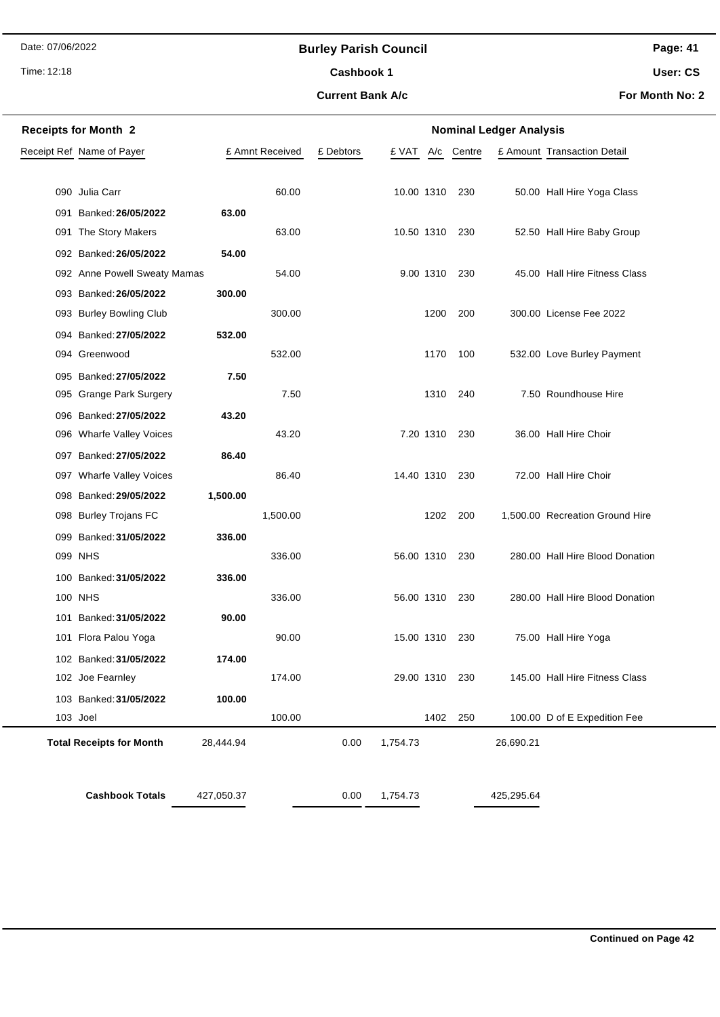## **Burley Parish Council**

Time: 12:18

## **Current Bank A/c** Cashbook 1

**Page: 41 User: CS**

**For Month No: 2**

| <b>Receipts for Month 2</b><br><b>Nominal Ledger Analysis</b> |                                 |            |                 |           |                |           |          |            |                                 |
|---------------------------------------------------------------|---------------------------------|------------|-----------------|-----------|----------------|-----------|----------|------------|---------------------------------|
|                                                               | Receipt Ref Name of Payer       |            | £ Amnt Received | £ Debtors | £ VAT          | A/c       | Centre   |            | £ Amount Transaction Detail     |
|                                                               |                                 |            |                 |           |                |           |          |            |                                 |
|                                                               | 090 Julia Carr                  |            | 60.00           |           | 10.00 1310     |           | 230      |            | 50.00 Hall Hire Yoga Class      |
| 091                                                           | Banked: 26/05/2022              | 63.00      |                 |           |                |           |          |            |                                 |
|                                                               | 091 The Story Makers            |            | 63.00           |           | 10.50 1310     |           | 230      |            | 52.50 Hall Hire Baby Group      |
|                                                               | 092 Banked: 26/05/2022          | 54.00      |                 |           |                |           |          |            |                                 |
|                                                               | 092 Anne Powell Sweaty Mamas    |            | 54.00           |           |                | 9.00 1310 | 230      |            | 45.00 Hall Hire Fitness Class   |
|                                                               | 093 Banked: 26/05/2022          | 300.00     |                 |           |                |           |          |            |                                 |
|                                                               | 093 Burley Bowling Club         |            | 300.00          |           |                | 1200      | 200      |            | 300.00 License Fee 2022         |
|                                                               | 094 Banked: 27/05/2022          | 532.00     |                 |           |                |           |          |            |                                 |
|                                                               | 094 Greenwood                   |            | 532.00          |           |                | 1170      | 100      |            | 532.00 Love Burley Payment      |
|                                                               | 095 Banked: 27/05/2022          | 7.50       |                 |           |                |           |          |            |                                 |
|                                                               | 095 Grange Park Surgery         |            | 7.50            |           |                | 1310      | 240      |            | 7.50 Roundhouse Hire            |
|                                                               | 096 Banked: 27/05/2022          | 43.20      |                 |           |                |           |          |            |                                 |
|                                                               | 096 Wharfe Valley Voices        |            | 43.20           |           |                | 7.20 1310 | 230      |            | 36.00 Hall Hire Choir           |
|                                                               | 097 Banked: 27/05/2022          | 86.40      |                 |           |                |           |          |            |                                 |
|                                                               | 097 Wharfe Valley Voices        |            | 86.40           |           | 14.40 1310     |           | 230      |            | 72.00 Hall Hire Choir           |
|                                                               | 098 Banked: 29/05/2022          | 1,500.00   |                 |           |                |           |          |            |                                 |
|                                                               | 098 Burley Trojans FC           |            | 1,500.00        |           |                | 1202      | 200      |            | 1,500.00 Recreation Ground Hire |
|                                                               | 099 Banked: 31/05/2022          | 336.00     |                 |           |                |           |          |            |                                 |
|                                                               | 099 NHS                         |            | 336.00          |           | 56.00 1310     |           | -230     |            | 280.00 Hall Hire Blood Donation |
| 100                                                           | Banked: 31/05/2022              | 336.00     |                 |           |                |           |          |            |                                 |
|                                                               | 100 NHS                         |            | 336.00          |           | 56.00 1310     |           | 230      |            | 280.00 Hall Hire Blood Donation |
|                                                               | 101 Banked: 31/05/2022          | 90.00      |                 |           |                |           |          |            |                                 |
|                                                               | 101 Flora Palou Yoga            |            | 90.00           |           | 15.00 1310     |           | 230      |            | 75.00 Hall Hire Yoga            |
|                                                               | 102 Banked: 31/05/2022          | 174.00     |                 |           |                |           |          |            |                                 |
|                                                               | 102 Joe Fearnley                |            | 174.00          |           | 29.00 1310 230 |           |          |            | 145.00 Hall Hire Fitness Class  |
|                                                               | 103 Banked: 31/05/2022          | 100.00     |                 |           |                |           |          |            |                                 |
|                                                               | 103 Joel                        |            | 100.00          |           |                |           | 1402 250 |            | 100.00 D of E Expedition Fee    |
|                                                               | <b>Total Receipts for Month</b> | 28,444.94  |                 | 0.00      | 1,754.73       |           |          | 26,690.21  |                                 |
|                                                               |                                 |            |                 |           |                |           |          |            |                                 |
|                                                               | <b>Cashbook Totals</b>          | 427,050.37 |                 | 0.00      | 1,754.73       |           |          | 425,295.64 |                                 |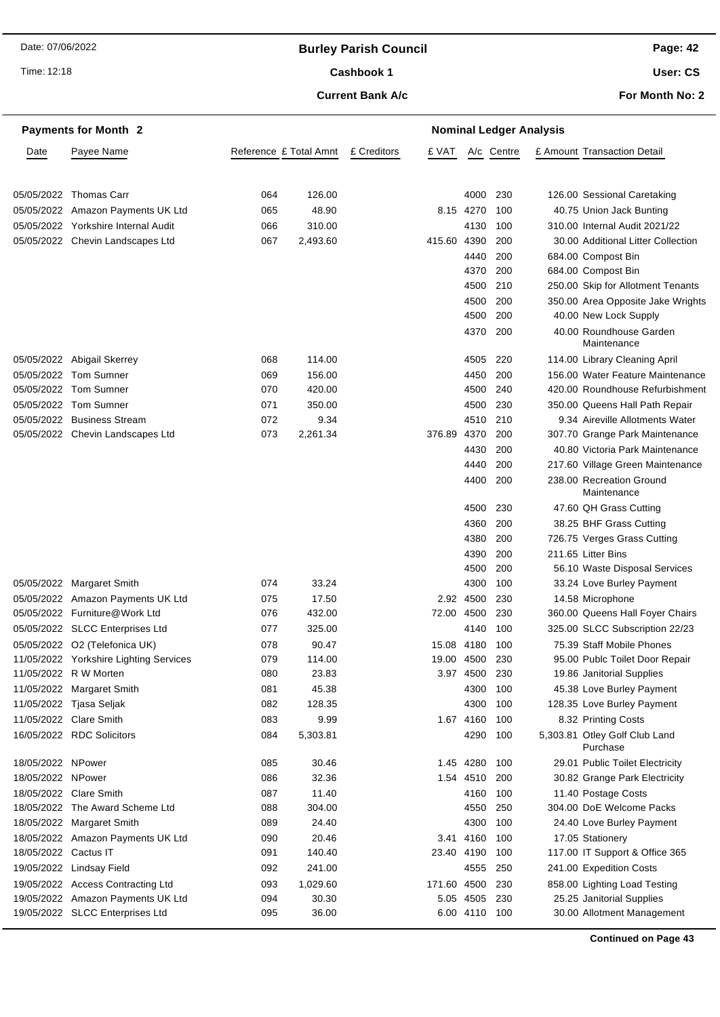## **Burley Parish Council**

Time: 12:18

## Cashbook 1

#### **Current Bank A/c**

**Page: 42 User: CS**

**For Month No: 2**

|                      | <b>Payments for Month 2</b>                                             |            | <b>Nominal Ledger Analysis</b> |  |             |               |            |  |                                                                     |  |
|----------------------|-------------------------------------------------------------------------|------------|--------------------------------|--|-------------|---------------|------------|--|---------------------------------------------------------------------|--|
| Date                 | Payee Name                                                              |            | Reference £ Total Amnt         |  | £ VAT       |               | A/c Centre |  | £ Amount Transaction Detail                                         |  |
|                      |                                                                         |            |                                |  |             |               |            |  |                                                                     |  |
| 05/05/2022           | Thomas Carr                                                             | 064        | 126.00                         |  |             | 4000          | 230        |  | 126.00 Sessional Caretaking                                         |  |
|                      | 05/05/2022 Amazon Payments UK Ltd                                       | 065        | 48.90                          |  |             | 8.15 4270     | 100        |  |                                                                     |  |
|                      |                                                                         |            | 310.00                         |  |             |               |            |  | 40.75 Union Jack Bunting                                            |  |
|                      | 05/05/2022 Yorkshire Internal Audit<br>05/05/2022 Chevin Landscapes Ltd | 066<br>067 | 2,493.60                       |  | 415.60 4390 | 4130          | 100<br>200 |  | 310.00 Internal Audit 2021/22<br>30.00 Additional Litter Collection |  |
|                      |                                                                         |            |                                |  |             | 4440          | 200        |  | 684.00 Compost Bin                                                  |  |
|                      |                                                                         |            |                                |  |             | 4370          | 200        |  | 684.00 Compost Bin                                                  |  |
|                      |                                                                         |            |                                |  |             | 4500          | 210        |  | 250.00 Skip for Allotment Tenants                                   |  |
|                      |                                                                         |            |                                |  |             | 4500          | 200        |  | 350.00 Area Opposite Jake Wrights                                   |  |
|                      |                                                                         |            |                                |  |             | 4500          | 200        |  | 40.00 New Lock Supply                                               |  |
|                      |                                                                         |            |                                |  |             | 4370          | 200        |  | 40.00 Roundhouse Garden                                             |  |
|                      |                                                                         |            |                                |  |             |               |            |  | Maintenance                                                         |  |
|                      | 05/05/2022 Abigail Skerrey                                              | 068        | 114.00                         |  |             | 4505          | 220        |  | 114.00 Library Cleaning April                                       |  |
| 05/05/2022           | <b>Tom Sumner</b>                                                       | 069        | 156.00                         |  |             | 4450          | 200        |  | 156.00 Water Feature Maintenance                                    |  |
| 05/05/2022           | <b>Tom Sumner</b>                                                       | 070        | 420.00                         |  |             | 4500          | 240        |  | 420.00 Roundhouse Refurbishment                                     |  |
|                      | 05/05/2022 Tom Sumner                                                   | 071        | 350.00                         |  |             | 4500          | 230        |  | 350.00 Queens Hall Path Repair                                      |  |
| 05/05/2022           | <b>Business Stream</b>                                                  | 072        | 9.34                           |  |             | 4510          | 210        |  | 9.34 Aireville Allotments Water                                     |  |
|                      | 05/05/2022 Chevin Landscapes Ltd                                        | 073        | 2,261.34                       |  | 376.89 4370 |               | 200        |  | 307.70 Grange Park Maintenance                                      |  |
|                      |                                                                         |            |                                |  |             | 4430          | 200        |  | 40.80 Victoria Park Maintenance                                     |  |
|                      |                                                                         |            |                                |  |             | 4440          | 200        |  | 217.60 Village Green Maintenance                                    |  |
|                      |                                                                         |            |                                |  |             | 4400          | 200        |  | 238.00 Recreation Ground<br>Maintenance                             |  |
|                      |                                                                         |            |                                |  |             | 4500          | 230        |  | 47.60 QH Grass Cutting                                              |  |
|                      |                                                                         |            |                                |  |             | 4360          | 200        |  | 38.25 BHF Grass Cutting                                             |  |
|                      |                                                                         |            |                                |  |             | 4380          | 200        |  | 726.75 Verges Grass Cutting                                         |  |
|                      |                                                                         |            |                                |  |             | 4390          | 200        |  | 211.65 Litter Bins                                                  |  |
|                      |                                                                         |            |                                |  |             | 4500          | 200        |  | 56.10 Waste Disposal Services                                       |  |
|                      | 05/05/2022 Margaret Smith                                               | 074        | 33.24                          |  |             | 4300          | 100        |  | 33.24 Love Burley Payment                                           |  |
|                      | 05/05/2022 Amazon Payments UK Ltd                                       | 075        | 17.50                          |  |             | 2.92 4500     | 230        |  | 14.58 Microphone                                                    |  |
|                      | 05/05/2022 Furniture@Work Ltd                                           | 076        | 432.00                         |  | 72.00 4500  |               | 230        |  | 360.00 Queens Hall Foyer Chairs                                     |  |
|                      | 05/05/2022 SLCC Enterprises Ltd                                         | 077        | 325.00                         |  |             | 4140          | 100        |  | 325.00 SLCC Subscription 22/23                                      |  |
|                      | 05/05/2022 O2 (Telefonica UK)                                           | 078        | 90.47                          |  | 15.08 4180  |               | 100        |  | 75.39 Staff Mobile Phones                                           |  |
|                      | 11/05/2022 Yorkshire Lighting Services                                  | 079        | 114.00                         |  | 19.00 4500  |               | 230        |  | 95.00 Publc Toilet Door Repair                                      |  |
|                      | 11/05/2022 R W Morten                                                   | 080        | 23.83                          |  |             | 3.97 4500 230 |            |  | 19.86 Janitorial Supplies                                           |  |
|                      | 11/05/2022 Margaret Smith                                               | 081        | 45.38                          |  |             | 4300          | 100        |  | 45.38 Love Burley Payment                                           |  |
|                      | 11/05/2022 Tjasa Seljak                                                 | 082        | 128.35                         |  |             | 4300          | 100        |  | 128.35 Love Burley Payment                                          |  |
|                      | 11/05/2022 Clare Smith                                                  | 083        | 9.99                           |  |             | 1.67 4160     | 100        |  | 8.32 Printing Costs                                                 |  |
|                      | 16/05/2022 RDC Solicitors                                               | 084        | 5,303.81                       |  |             | 4290          | 100        |  | 5,303.81 Otley Golf Club Land<br>Purchase                           |  |
| 18/05/2022 NPower    |                                                                         | 085        | 30.46                          |  |             | 1.45 4280     | 100        |  | 29.01 Public Toilet Electricity                                     |  |
| 18/05/2022 NPower    |                                                                         | 086        | 32.36                          |  |             | 1.54 4510     | 200        |  | 30.82 Grange Park Electricity                                       |  |
|                      | 18/05/2022 Clare Smith                                                  | 087        | 11.40                          |  |             | 4160          | 100        |  | 11.40 Postage Costs                                                 |  |
|                      | 18/05/2022 The Award Scheme Ltd                                         | 088        | 304.00                         |  |             | 4550          | 250        |  | 304.00 DoE Welcome Packs                                            |  |
|                      | 18/05/2022 Margaret Smith                                               | 089        | 24.40                          |  |             | 4300          | 100        |  | 24.40 Love Burley Payment                                           |  |
|                      | 18/05/2022 Amazon Payments UK Ltd                                       | 090        | 20.46                          |  |             | 3.41 4160     | 100        |  | 17.05 Stationery                                                    |  |
| 18/05/2022 Cactus IT |                                                                         | 091        | 140.40                         |  | 23.40 4190  |               | 100        |  | 117.00 IT Support & Office 365                                      |  |
|                      | 19/05/2022 Lindsay Field                                                | 092        | 241.00                         |  |             | 4555          | 250        |  | 241.00 Expedition Costs                                             |  |
|                      | 19/05/2022 Access Contracting Ltd                                       | 093        | 1,029.60                       |  | 171.60 4500 |               | 230        |  | 858.00 Lighting Load Testing                                        |  |
|                      | 19/05/2022 Amazon Payments UK Ltd                                       | 094        | 30.30                          |  |             | 5.05 4505     | 230        |  | 25.25 Janitorial Supplies                                           |  |
|                      | 19/05/2022 SLCC Enterprises Ltd                                         | 095        | 36.00                          |  |             | 6.00 4110 100 |            |  | 30.00 Allotment Management                                          |  |

**Continued on Page 43**